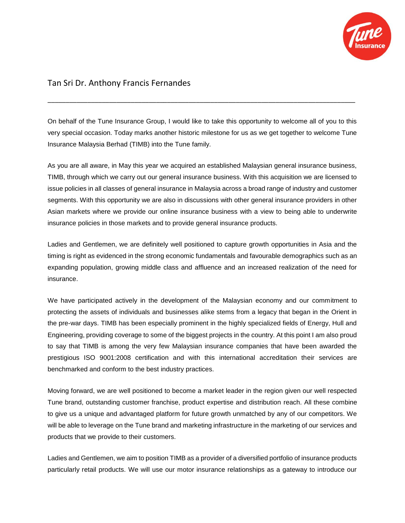

## Tan Sri Dr. Anthony Francis Fernandes

On behalf of the Tune Insurance Group, I would like to take this opportunity to welcome all of you to this very special occasion. Today marks another historic milestone for us as we get together to welcome Tune Insurance Malaysia Berhad (TIMB) into the Tune family.

\_\_\_\_\_\_\_\_\_\_\_\_\_\_\_\_\_\_\_\_\_\_\_\_\_\_\_\_\_\_\_\_\_\_\_\_\_\_\_\_\_\_\_\_\_\_\_\_\_\_\_\_\_\_\_\_\_\_\_\_\_\_\_\_\_\_\_\_\_\_\_\_\_\_\_\_\_\_\_\_\_\_\_\_\_

As you are all aware, in May this year we acquired an established Malaysian general insurance business, TIMB, through which we carry out our general insurance business. With this acquisition we are licensed to issue policies in all classes of general insurance in Malaysia across a broad range of industry and customer segments. With this opportunity we are also in discussions with other general insurance providers in other Asian markets where we provide our online insurance business with a view to being able to underwrite insurance policies in those markets and to provide general insurance products.

Ladies and Gentlemen, we are definitely well positioned to capture growth opportunities in Asia and the timing is right as evidenced in the strong economic fundamentals and favourable demographics such as an expanding population, growing middle class and affluence and an increased realization of the need for insurance.

We have participated actively in the development of the Malaysian economy and our commitment to protecting the assets of individuals and businesses alike stems from a legacy that began in the Orient in the pre-war days. TIMB has been especially prominent in the highly specialized fields of Energy, Hull and Engineering, providing coverage to some of the biggest projects in the country. At this point I am also proud to say that TIMB is among the very few Malaysian insurance companies that have been awarded the prestigious ISO 9001:2008 certification and with this international accreditation their services are benchmarked and conform to the best industry practices.

Moving forward, we are well positioned to become a market leader in the region given our well respected Tune brand, outstanding customer franchise, product expertise and distribution reach. All these combine to give us a unique and advantaged platform for future growth unmatched by any of our competitors. We will be able to leverage on the Tune brand and marketing infrastructure in the marketing of our services and products that we provide to their customers.

Ladies and Gentlemen, we aim to position TIMB as a provider of a diversified portfolio of insurance products particularly retail products. We will use our motor insurance relationships as a gateway to introduce our